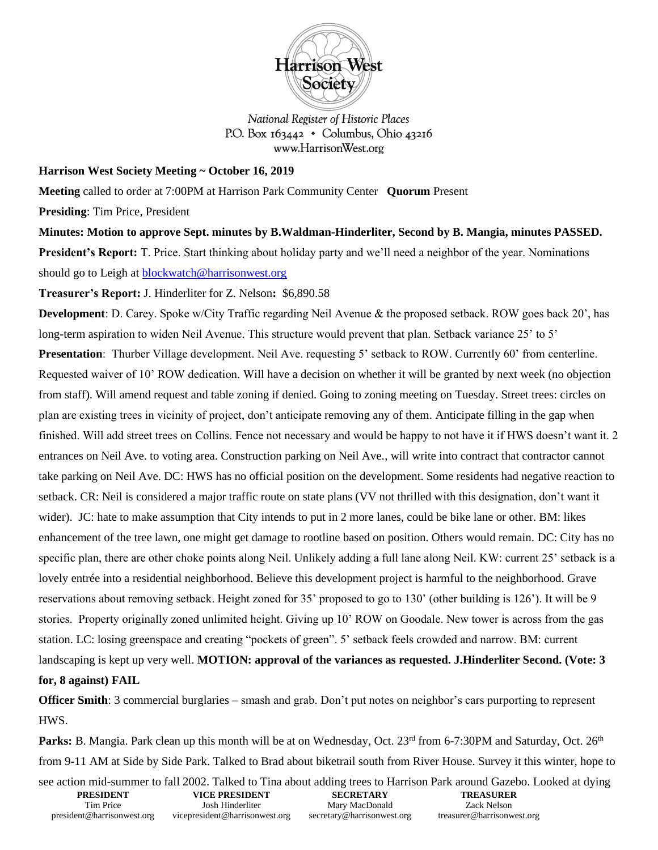

National Register of Historic Places P.O. Box  $163442 \cdot$  Columbus, Ohio 43216 www.HarrisonWest.org

## **Harrison West Society Meeting ~ October 16, 2019**

**Meeting** called to order at 7:00PM at Harrison Park Community Center **Quorum** Present

**Presiding**: Tim Price, President

**Minutes: Motion to approve Sept. minutes by B.Waldman-Hinderliter, Second by B. Mangia, minutes PASSED. President's Report:** T. Price. Start thinking about holiday party and we'll need a neighbor of the year. Nominations should go to Leigh at [blockwatch@harrisonwest.org](mailto:blockwatch@harrisonwest.org)

**Treasurer's Report:** J. Hinderliter for Z. Nelson**:** \$6,890.58

**Development**: D. Carey. Spoke w/City Traffic regarding Neil Avenue & the proposed setback. ROW goes back 20', has long-term aspiration to widen Neil Avenue. This structure would prevent that plan. Setback variance 25' to 5' **Presentation**: Thurber Village development. Neil Ave. requesting 5' setback to ROW. Currently 60' from centerline. Requested waiver of 10' ROW dedication. Will have a decision on whether it will be granted by next week (no objection from staff). Will amend request and table zoning if denied. Going to zoning meeting on Tuesday. Street trees: circles on plan are existing trees in vicinity of project, don't anticipate removing any of them. Anticipate filling in the gap when finished. Will add street trees on Collins. Fence not necessary and would be happy to not have it if HWS doesn't want it. 2 entrances on Neil Ave. to voting area. Construction parking on Neil Ave., will write into contract that contractor cannot take parking on Neil Ave. DC: HWS has no official position on the development. Some residents had negative reaction to setback. CR: Neil is considered a major traffic route on state plans (VV not thrilled with this designation, don't want it wider). JC: hate to make assumption that City intends to put in 2 more lanes, could be bike lane or other. BM: likes enhancement of the tree lawn, one might get damage to rootline based on position. Others would remain. DC: City has no specific plan, there are other choke points along Neil. Unlikely adding a full lane along Neil. KW: current 25' setback is a lovely entrée into a residential neighborhood. Believe this development project is harmful to the neighborhood. Grave reservations about removing setback. Height zoned for 35' proposed to go to 130' (other building is 126'). It will be 9 stories. Property originally zoned unlimited height. Giving up 10' ROW on Goodale. New tower is across from the gas station. LC: losing greenspace and creating "pockets of green". 5' setback feels crowded and narrow. BM: current landscaping is kept up very well. **MOTION: approval of the variances as requested. J.Hinderliter Second. (Vote: 3 for, 8 against) FAIL**

**Officer Smith**: 3 commercial burglaries – smash and grab. Don't put notes on neighbor's cars purporting to represent HWS.

Parks: B. Mangia. Park clean up this month will be at on Wednesday, Oct. 23<sup>rd</sup> from 6-7:30PM and Saturday, Oct. 26<sup>th</sup> from 9-11 AM at Side by Side Park. Talked to Brad about biketrail south from River House. Survey it this winter, hope to

|                            |                                |                            | see action mid-summer to fall 2002. Talked to Tina about adding trees to Harrison Park around Gazebo. Looked at dying |  |
|----------------------------|--------------------------------|----------------------------|-----------------------------------------------------------------------------------------------------------------------|--|
| <b>PRESIDENT</b>           | VICE PRESIDENT                 | <b>SECRETARY</b>           | <b>TREASURER</b>                                                                                                      |  |
| Tim Price                  | Josh Hinderliter               | Mary MacDonald             | Zack Nelson                                                                                                           |  |
| president@harrisonwest.org | vicepresident@harrisonwest.org | secretary@harrisonwest.org | treasurer@harrisonwest.org                                                                                            |  |